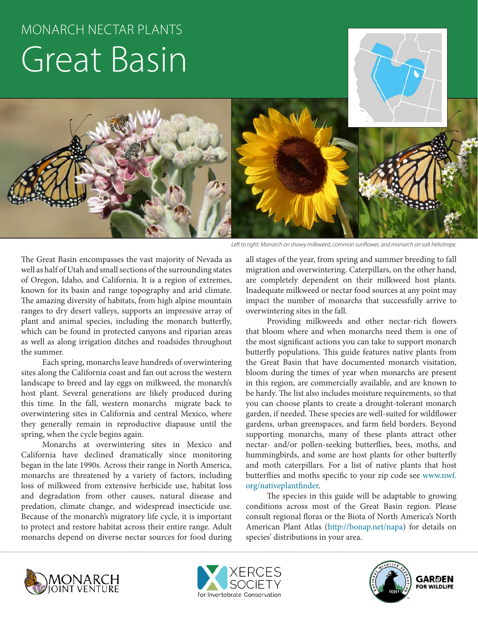# MONARCH NECTAR PLANTS Great Basin



*Left to right: Monarch on showy milkweed, common sunflower, and monarch on salt heliotrope.*

The Great Basin encompasses the vast majority of Nevada as well as half of Utah and small sections of the surrounding states of Oregon, Idaho, and California. It is a region of extremes, known for its basin and range topography and arid climate. The amazing diversity of habitats, from high alpine mountain ranges to dry desert valleys, supports an impressive array of plant and animal species, including the monarch butterfly, which can be found in protected canyons and riparian areas as well as along irrigation ditches and roadsides throughout the summer.

Each spring, monarchs leave hundreds of overwintering sites along the California coast and fan out across the western landscape to breed and lay eggs on milkweed, the monarch's host plant. Several generations are likely produced during this time. In the fall, western monarchs migrate back to overwintering sites in California and central Mexico, where they generally remain in reproductive diapause until the spring, when the cycle begins again.

Monarchs at overwintering sites in Mexico and California have declined dramatically since monitoring began in the late 1990s. Across their range in North America, monarchs are threatened by a variety of factors, including loss of milkweed from extensive herbicide use, habitat loss and degradation from other causes, natural disease and predation, climate change, and widespread insecticide use. Because of the monarch's migratory life cycle, it is important to protect and restore habitat across their entire range. Adult monarchs depend on diverse nectar sources for food during

all stages of the year, from spring and summer breeding to fall migration and overwintering. Caterpillars, on the other hand, are completely dependent on their milkweed host plants. Inadequate milkweed or nectar food sources at any point may impact the number of monarchs that successfully arrive to overwintering sites in the fall.

Providing milkweeds and other nectar-rich flowers that bloom where and when monarchs need them is one of the most significant actions you can take to support monarch butterfly populations. This guide features native plants from the Great Basin that have documented monarch visitation, bloom during the times of year when monarchs are present in this region, are commercially available, and are known to be hardy. The list also includes moisture requirements, so that you can choose plants to create a drought-tolerant monarch garden, if needed. These species are well-suited for wildflower gardens, urban greenspaces, and farm field borders. Beyond supporting monarchs, many of these plants attract other nectar- and/or pollen-seeking butterflies, bees, moths, and hummingbirds, and some are host plants for other butterfly and moth caterpillars. For a list of native plants that host butterflies and moths specific to your zip code see www.nwf. org/nativeplantfinder.

The species in this guide will be adaptable to growing conditions across most of the Great Basin region. Please consult regional floras or the Biota of North America's North American Plant Atlas (http://bonap.net/napa) for details on species' distributions in your area.





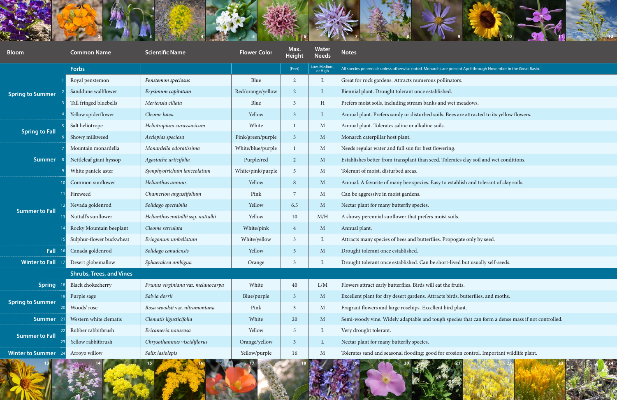

| <b>Bloom</b>            | <b>Common Name</b>              | <b>Scientific Name</b>              | <b>Flower Color</b> | Max.<br><b>Height</b> | <b>Water</b><br><b>Needs</b> | <b>Notes</b>                                                                                                   |
|-------------------------|---------------------------------|-------------------------------------|---------------------|-----------------------|------------------------------|----------------------------------------------------------------------------------------------------------------|
|                         | <b>Forbs</b>                    |                                     |                     | (Feet)                | Low, Medium,<br>or High      | All species perennials unless otherwise noted. Monarchs are present April through November in the Great Basin. |
| Spring to Summer        | Royal penstemon                 | Penstemon speciosus                 | Blue                | $\overline{2}$        | L                            | Great for rock gardens. Attracts numerous pollinators.                                                         |
|                         | Sanddune wallflower             | Erysimum capitatum                  | Red/orange/yellow   | $\overline{2}$        | $\mathbf{L}$                 | Biennial plant. Drought tolerant once established.                                                             |
|                         | Tall fringed bluebells          | Mertensia ciliata                   | Blue                | -3                    | H                            | Prefers moist soils, including stream banks and wet meadows.                                                   |
|                         | Yellow spiderflower             | Cleome lutea                        | Yellow              | 3                     | $\mathbf{L}$                 | Annual plant. Prefers sandy or disturbed soils. Bees are attracted to its yellow flowers.                      |
| <b>Spring to Fall</b>   | Salt heliotrope                 | Heliotropium curassavicum           | White               |                       | M                            | Annual plant. Tolerates saline or alkaline soils.                                                              |
|                         | Showy milkweed                  | Asclepias speciosa                  | Pink/green/purple   | $\overline{3}$        | $\mathbf{M}$                 | Monarch caterpillar host plant.                                                                                |
| <b>Summer</b>           | Mountain monardella             | Monardella odoratissima             | White/blue/purple   |                       | M                            | Needs regular water and full sun for best flowering.                                                           |
|                         | Nettleleaf giant hyssop         | Agastache urticifolia               | Purple/red          | $\overline{2}$        | $\mathbf{M}$                 | Establishes better from transplant than seed. Tolerates clay soil and wet conditions.                          |
|                         | White panicle aster             | Symphyotrichum lanceolatum          | White/pink/purple   | -5                    | M                            | Tolerant of moist, disturbed areas.                                                                            |
| <b>Summer to Fall</b>   | Common sunflower                | Helianthus annuus                   | Yellow              | 8                     | $\mathbf{M}$                 | Annual. A favorite of many bee species. Easy to establish and tolerant of clay soils.                          |
|                         | Fireweed                        | Chamerion angustifolium             | Pink                | -7                    | M                            | Can be aggressive in moist gardens.                                                                            |
|                         | Nevada goldenrod                | Solidago spectabilis                | Yellow              | 6.5                   | $\mathbf{M}$                 | Nectar plant for many butterfly species.                                                                       |
|                         | Nuttall's sunflower             | Helianthus nuttallii ssp. nuttallii | Yellow              | 10                    | M/H                          | A showy perennial sunflower that prefers moist soils.                                                          |
|                         | Rocky Mountain beeplant         | Cleome serrulata                    | White/pink          | $\overline{4}$        | $\mathbf{M}$                 | Annual plant.                                                                                                  |
|                         | Sulphur-flower buckwheat        | Eriogonum umbellatum                | White/yellow        | 3                     | $\mathbf{L}$                 | Attracts many species of bees and butterflies. Propogate only by seed.                                         |
| Fall                    | Canada goldenrod                | Solidago canadensis                 | Yellow              | -5                    | $\mathbf{M}$                 | Drought tolerant once established.                                                                             |
| <b>Winter to Fall</b>   | Desert globemallow              | Sphaeralcea ambigua                 | Orange              |                       | L                            | Drought tolerant once established. Can be short-lived but usually self-seeds.                                  |
|                         | <b>Shrubs, Trees, and Vines</b> |                                     |                     |                       |                              |                                                                                                                |
| <b>Spring</b>           | Black chokecherry               | Prunus virginiana var. melanocarpa  | White               | 40                    | L/M                          | Flowers attract early butterflies. Birds will eat the fruits.                                                  |
| <b>Spring to Summer</b> | Purple sage                     | Salvia dorrii                       | Blue/purple         | $\overline{3}$        | $M_{\odot}$                  | Excellent plant for dry desert gardens. Attracts birds, butterflies, and moths.                                |
|                         | Woods' rose                     | Rosa woodsii var. ultramontana      | Pink                | -3                    | $\mathbf{M}$                 | Fragrant flowers and large rosehips. Excellent bird plant.                                                     |
| <b>Summer</b>           | Western white clematis          | Clematis ligusticifolia             | White               | 20                    | $\mathbf{M}$                 | Semi-woody vine. Widely adaptable and tough species that can form a dense mass if not controlled.              |
| <b>Summer to Fall</b>   | Rubber rabbitbrush              | Ericameria nauseosa                 | Yellow              | -5                    | $\mathbf{L}$                 | Very drought tolerant.                                                                                         |
|                         | Yellow rabbitbrush              | Chrysothamnus viscidiflorus         | Orange/yellow       | $\overline{3}$        | $\Gamma$                     | Nectar plant for many butterfly species.                                                                       |
| <b>Winter to Summer</b> | Arroyo willow                   | Salix lasiolepis                    | Yellow/purple       | 16                    | $\mathbf{M}$                 | Tolerates sand and seasonal flooding; good for erosion control. Important wildlife plant.                      |